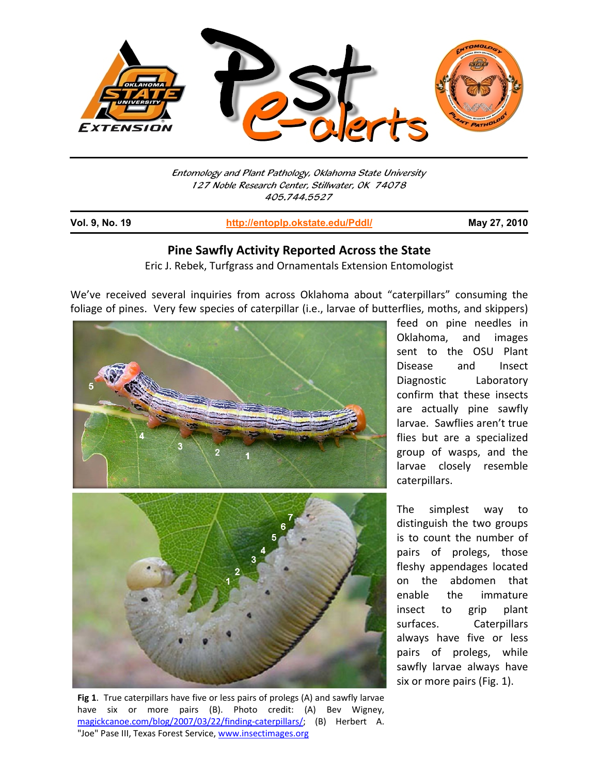

Entomology and Plant Pathology, Oklahoma State University 127 Noble Research Center, Stillwater, OK 74078 405.744.5527

j

**Vol. 9, No. 19 http://entoplp.okstate.edu/Pddl/ May 27, 2010**

## **Pine Sawfly Activity Reported Across the State**

Eric J. Rebek, Turfgrass and Ornamentals Extension Entomologist

We've received several inquiries from across Oklahoma about "caterpillars" consuming the foliage of pines. Very few species of caterpillar (i.e., larvae of butterflies, moths, and skippers)



**Fig 1**. True caterpillars have five or less pairs of prolegs (A) and sawfly larvae have six or more pairs (B). Photo credit: (A) Bev Wigney, magickcanoe.com/blog/2007/03/22/finding-caterpillars/; (B) Herbert A. "Joe" Pase III, Texas Forest Service, www.insectimages.org

feed on pine needles in Oklahoma, and images sent to the OSU Plant Disease and Insect Diagnostic Laboratory confirm that these insects are actually pine sawfly larvae. Sawflies aren't true flies but are a specialized group of wasps, and the larvae closely resemble caterpillars.

The simplest way to distinguish the two groups is to count the number of pairs of prolegs, those fleshy appendages located on the abdomen that enable the immature insect to grip plant surfaces. Caterpillars always have five or less pairs of prolegs, while sawfly larvae always have six or more pairs (Fig. 1).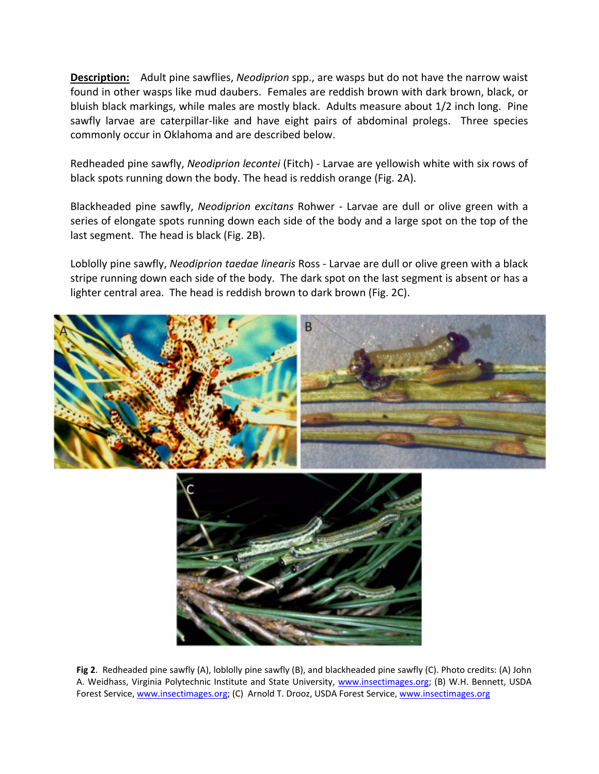**Description:** Adult pine sawflies, *Neodiprion* spp., are wasps but do not have the narrow waist found in other wasps like mud daubers. Females are reddish brown with dark brown, black, or bluish black markings, while males are mostly black. Adults measure about 1/2 inch long. Pine sawfly larvae are caterpillar-like and have eight pairs of abdominal prolegs. Three species commonly occur in Oklahoma and are described below.

Redheaded pine sawfly, *Neodiprion lecontei* (Fitch) ‐ Larvae are yellowish white with six rows of black spots running down the body. The head is reddish orange (Fig. 2A).

Blackheaded pine sawfly, *Neodiprion excitans* Rohwer ‐ Larvae are dull or olive green with a series of elongate spots running down each side of the body and a large spot on the top of the last segment. The head is black (Fig. 2B).

Loblolly pine sawfly, *Neodiprion taedae linearis* Ross ‐ Larvae are dull or olive green with a black stripe running down each side of the body. The dark spot on the last segment is absent or has a lighter central area. The head is reddish brown to dark brown (Fig. 2C).



**Fig 2**. Redheaded pine sawfly (A), loblolly pine sawfly (B), and blackheaded pine sawfly (C). Photo credits: (A) John A. Weidhass, Virginia Polytechnic Institute and State University, www.insectimages.org; (B) W.H. Bennett, USDA Forest Service, www.insectimages.org; (C) Arnold T. Drooz, USDA Forest Service, www.insectimages.org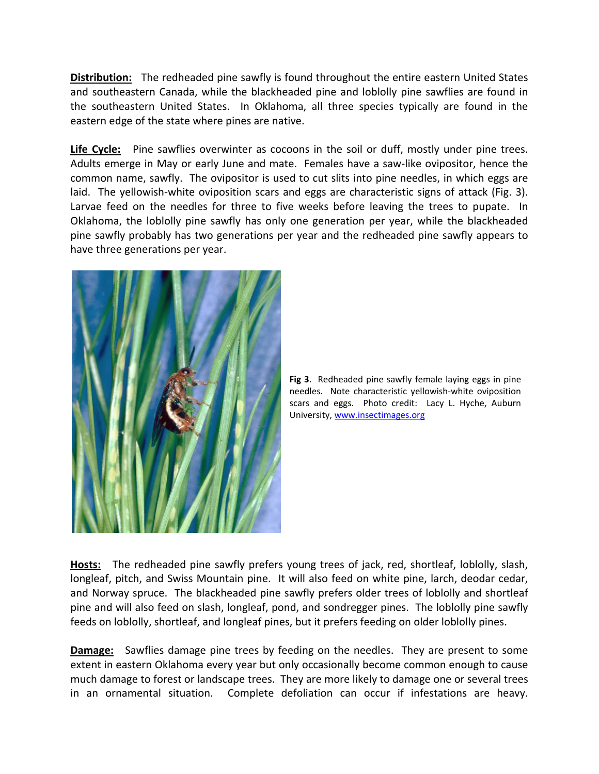**Distribution:** The redheaded pine sawfly is found throughout the entire eastern United States and southeastern Canada, while the blackheaded pine and loblolly pine sawflies are found in the southeastern United States. In Oklahoma, all three species typically are found in the eastern edge of the state where pines are native.

**Life Cycle:** Pine sawflies overwinter as cocoons in the soil or duff, mostly under pine trees. Adults emerge in May or early June and mate. Females have a saw‐like ovipositor, hence the common name, sawfly. The ovipositor is used to cut slits into pine needles, in which eggs are laid. The yellowish-white oviposition scars and eggs are characteristic signs of attack (Fig. 3). Larvae feed on the needles for three to five weeks before leaving the trees to pupate. In Oklahoma, the loblolly pine sawfly has only one generation per year, while the blackheaded pine sawfly probably has two generations per year and the redheaded pine sawfly appears to have three generations per year.



**Fig 3**. Redheaded pine sawfly female laying eggs in pine needles. Note characteristic yellowish‐white oviposition scars and eggs. Photo credit: Lacy L. Hyche, Auburn University, www.insectimages.org

**Hosts:** The redheaded pine sawfly prefers young trees of jack, red, shortleaf, loblolly, slash, longleaf, pitch, and Swiss Mountain pine. It will also feed on white pine, larch, deodar cedar, and Norway spruce. The blackheaded pine sawfly prefers older trees of loblolly and shortleaf pine and will also feed on slash, longleaf, pond, and sondregger pines. The loblolly pine sawfly feeds on loblolly, shortleaf, and longleaf pines, but it prefers feeding on older loblolly pines.

**Damage:** Sawflies damage pine trees by feeding on the needles. They are present to some extent in eastern Oklahoma every year but only occasionally become common enough to cause much damage to forest or landscape trees. They are more likely to damage one or several trees in an ornamental situation. Complete defoliation can occur if infestations are heavy.